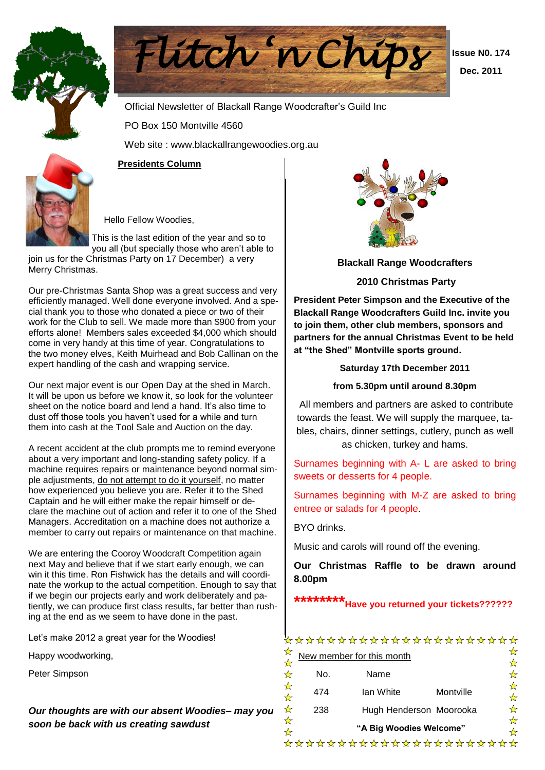



 **Issue N0. 174 Dec. 2011**

Official Newsletter of Blackall Range Woodcrafter's Guild Inc

PO Box 150 Montville 4560

Web site : www.blackallrangewoodies.org.au

#### **Presidents Column**

Hello Fellow Woodies,

This is the last edition of the year and so to you all (but specially those who aren't able to

join us for the Christmas Party on 17 December) a very Merry Christmas.

Our pre-Christmas Santa Shop was a great success and very efficiently managed. Well done everyone involved. And a special thank you to those who donated a piece or two of their work for the Club to sell. We made more than \$900 from your efforts alone! Members sales exceeded \$4,000 which should come in very handy at this time of year. Congratulations to the two money elves, Keith Muirhead and Bob Callinan on the expert handling of the cash and wrapping service.

Our next major event is our Open Day at the shed in March. It will be upon us before we know it, so look for the volunteer sheet on the notice board and lend a hand. It's also time to dust off those tools you haven't used for a while and turn them into cash at the Tool Sale and Auction on the day.

A recent accident at the club prompts me to remind everyone about a very important and long-standing safety policy. If a machine requires repairs or maintenance beyond normal simple adjustments, do not attempt to do it yourself, no matter how experienced you believe you are. Refer it to the Shed Captain and he will either make the repair himself or declare the machine out of action and refer it to one of the Shed Managers. Accreditation on a machine does not authorize a member to carry out repairs or maintenance on that machine.

We are entering the Cooroy Woodcraft Competition again next May and believe that if we start early enough, we can win it this time. Ron Fishwick has the details and will coordinate the workup to the actual competition. Enough to say that if we begin our projects early and work deliberately and patiently, we can produce first class results, far better than rushing at the end as we seem to have done in the past.

Let's make 2012 a great year for the Woodies!

Happy woodworking,

Peter Simpson

*Our thoughts are with our absent Woodies– may you soon be back with us creating sawdust*



**Blackall Range Woodcrafters**

#### **2010 Christmas Party**

**President Peter Simpson and the Executive of the Blackall Range Woodcrafters Guild Inc. invite you to join them, other club members, sponsors and partners for the annual Christmas Event to be held at "the Shed" Montville sports ground.**

**Saturday 17th December 2011**

#### **from 5.30pm until around 8.30pm**

All members and partners are asked to contribute towards the feast. We will supply the marquee, tables, chairs, dinner settings, cutlery, punch as well as chicken, turkey and hams.

Surnames beginning with A- L are asked to bring sweets or desserts for 4 people.

Surnames beginning with M-Z are asked to bring entree or salads for 4 people.

BYO drinks.

Music and carols will round off the evening.

**Our Christmas Raffle to be drawn around 8.00pm**

# **\*\*\*\*\*\*\*\*Have you returned your tickets??????**

|                           |                           | **********************  |           |         |
|---------------------------|---------------------------|-------------------------|-----------|---------|
| ☆<br>$\frac{1}{\sqrt{2}}$ | New member for this month |                         |           |         |
| ☆                         | No.                       | Name                    |           |         |
| ☆<br>☆                    | 474                       | lan White               | Montville | ☆<br>☆  |
| ☆                         | 238                       | Hugh Henderson Moorooka |           | ☆       |
| ☆<br>☆                    |                           | "A Big Woodies Welcome" |           | ☆<br>⊻≿ |
|                           |                           | **********************  |           |         |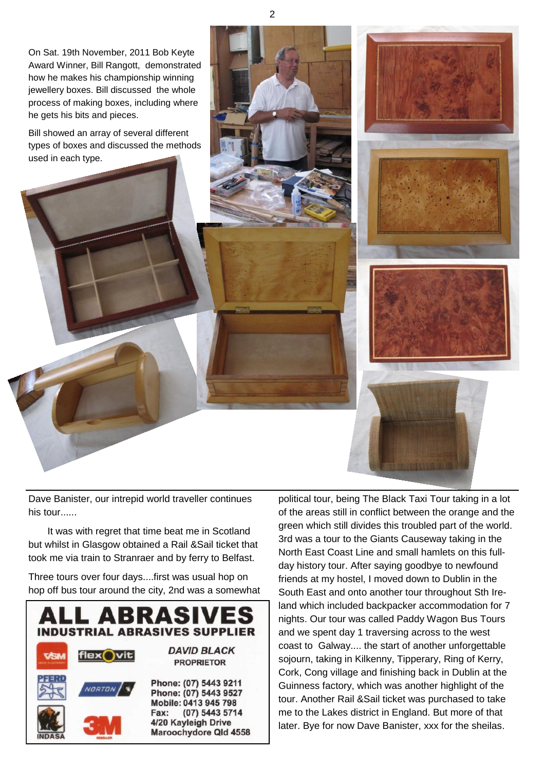On Sat. 19th November, 2011 Bob Keyte Award Winner, Bill Rangott, demonstrated how he makes his championship winning jewellery boxes. Bill discussed the whole process of making boxes, including where he gets his bits and pieces.

Bill showed an array of several different types of boxes and discussed the methods used in each type.



Dave Banister, our intrepid world traveller continues his tour......

 It was with regret that time beat me in Scotland but whilst in Glasgow obtained a Rail &Sail ticket that took me via train to Stranraer and by ferry to Belfast.

Three tours over four days....first was usual hop on hop off bus tour around the city, 2nd was a somewhat



political tour, being The Black Taxi Tour taking in a lot of the areas still in conflict between the orange and the green which still divides this troubled part of the world. 3rd was a tour to the Giants Causeway taking in the North East Coast Line and small hamlets on this fullday history tour. After saying goodbye to newfound friends at my hostel, I moved down to Dublin in the South East and onto another tour throughout Sth Ireland which included backpacker accommodation for 7 nights. Our tour was called Paddy Wagon Bus Tours and we spent day 1 traversing across to the west coast to Galway.... the start of another unforgettable sojourn, taking in Kilkenny, Tipperary, Ring of Kerry, Cork, Cong village and finishing back in Dublin at the Guinness factory, which was another highlight of the tour. Another Rail &Sail ticket was purchased to take me to the Lakes district in England. But more of that later. Bye for now Dave Banister, xxx for the sheilas.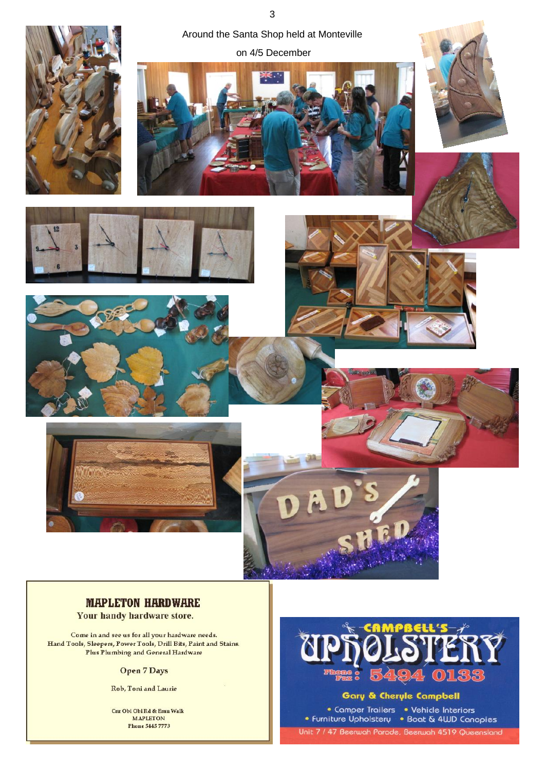

### **MAPLETON HARDWARE**

Your handy hardware store.

Come in and see us for all your hardware needs. Hand Tools, Sleepers, Power Tools, Drill Bits, Paint and Stains. Plus Plumbing and General Hardware

#### **Open 7 Days**

Rob, Toni and Laurie

Cnr Obi Obi Rd & Emu Walk **MAPLETON** Phone 5445 7773

 $\overline{0}$ 

Gary & Cheryle Campbell

• Camper Trailers • Vehicle Interiors<br>• Furniture Upholstery • Boat & 4WD Canopies Unit 7 / 47 Beerwah Parade, Beerwah 4519 Queensland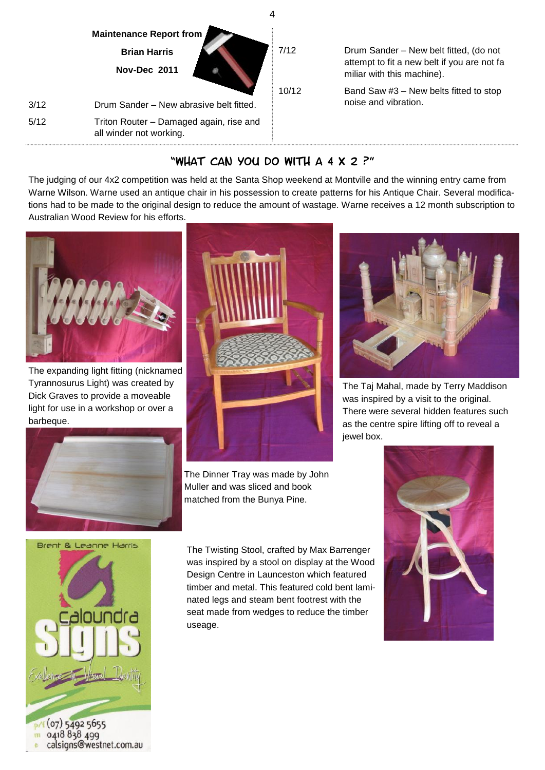

## "What Can You Do With A 4 x 2 ?"

The judging of our 4x2 competition was held at the Santa Shop weekend at Montville and the winning entry came from Warne Wilson. Warne used an antique chair in his possession to create patterns for his Antique Chair. Several modifications had to be made to the original design to reduce the amount of wastage. Warne receives a 12 month subscription to Australian Wood Review for his efforts.



The expanding light fitting (nicknamed Tyrannosurus Light) was created by Dick Graves to provide a moveable light for use in a workshop or over a barbeque.



The Dinner Tray was made by John Muller and was sliced and book matched from the Bunya Pine.



The Taj Mahal, made by Terry Maddison was inspired by a visit to the original. There were several hidden features such as the centre spire lifting off to reveal a jewel box.





 $(07)$  5492 5655 0418 838 499 calsigns@westnet.com.au The Twisting Stool, crafted by Max Barrenger was inspired by a stool on display at the Wood Design Centre in Launceston which featured timber and metal. This featured cold bent laminated legs and steam bent footrest with the seat made from wedges to reduce the timber useage.

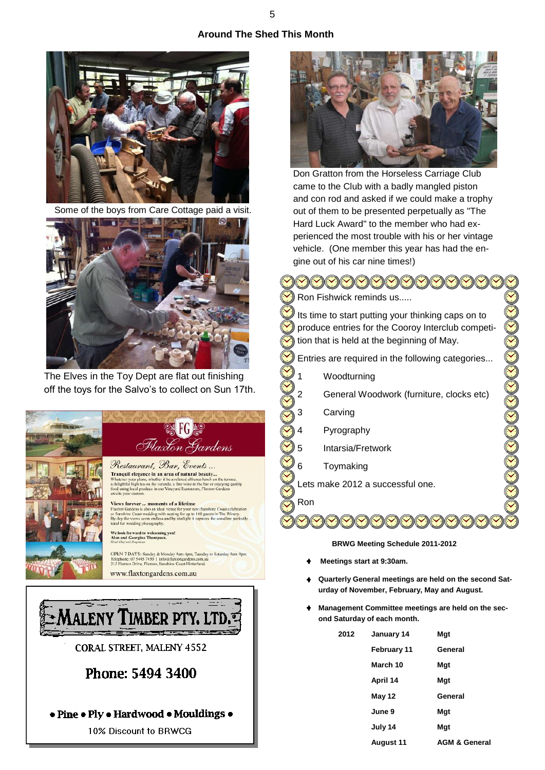### **Around The Shed This Month**



Some of the boys from Care Cottage paid a visit.



The Elves in the Toy Dept are flat out finishing off the toys for the Salvo's to collect on Sun 17th.





• Pine • Ply • Hardwood • Mouldings •

10% Discount to BRWCG



Don Gratton from the Horseless Carriage Club came to the Club with a badly mangled piston and con rod and asked if we could make a trophy out of them to be presented perpetually as "The Hard Luck Award" to the member who had experienced the most trouble with his or her vintage vehicle. (One member this year has had the engine out of his car nine times!)

 $\cup\mathcal{O}(\mathcal{O})(\mathcal{O})(\mathcal{O})(\mathcal{O})(\mathcal{O})(\mathcal{O})$ Ron Fishwick reminds us..... Its time to start putting your thinking caps on to produce entries for the Cooroy Interclub competition that is held at the beginning of May. Entries are required in the following categories... **DOOOOOOOOO** Woodturning General Woodwork (furniture, clocks etc) Carving **Pyrography** 5 Intarsia/Fretwork **Toymaking** Lets make 2012 a successful one. Ron**BRWG Meeting Schedule 2011-2012**

- **Meetings start at 9:30am.**
- **Quarterly General meetings are held on the second Saturday of November, February, May and August.**
- **Management Committee meetings are held on the second Saturday of each month.**

| 2012 | January 14  | Mgt                      |
|------|-------------|--------------------------|
|      | February 11 | General                  |
|      | March 10    | Mgt                      |
|      | April 14    | Mgt                      |
|      | May 12      | General                  |
|      | June 9      | Mgt                      |
|      | July 14     | Mgt                      |
|      | August 11   | <b>AGM &amp; General</b> |